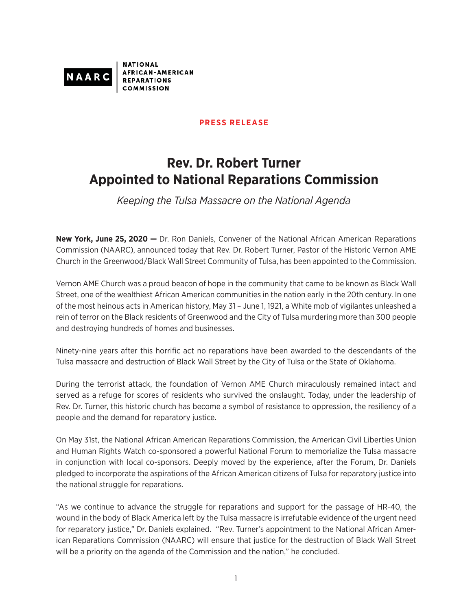

**NATIONAL FRICAN-AMERICAN REPARATIONS** 

## **PRESS RELEASE**

## **Rev. Dr. Robert Turner Appointed to National Reparations Commission**

*Keeping the Tulsa Massacre on the National Agenda*

**New York, June 25, 2020 —** Dr. Ron Daniels, Convener of the National African American Reparations Commission (NAARC), announced today that Rev. Dr. Robert Turner, Pastor of the Historic Vernon AME Church in the Greenwood/Black Wall Street Community of Tulsa, has been appointed to the Commission.

Vernon AME Church was a proud beacon of hope in the community that came to be known as Black Wall Street, one of the wealthiest African American communities in the nation early in the 20th century. In one of the most heinous acts in American history, May 31 – June 1, 1921, a White mob of vigilantes unleashed a rein of terror on the Black residents of Greenwood and the City of Tulsa murdering more than 300 people and destroying hundreds of homes and businesses.

Ninety-nine years after this horrific act no reparations have been awarded to the descendants of the Tulsa massacre and destruction of Black Wall Street by the City of Tulsa or the State of Oklahoma.

During the terrorist attack, the foundation of Vernon AME Church miraculously remained intact and served as a refuge for scores of residents who survived the onslaught. Today, under the leadership of Rev. Dr. Turner, this historic church has become a symbol of resistance to oppression, the resiliency of a people and the demand for reparatory justice.

On May 31st, the National African American Reparations Commission, the American Civil Liberties Union and Human Rights Watch co-sponsored a powerful National Forum to memorialize the Tulsa massacre in conjunction with local co-sponsors. Deeply moved by the experience, after the Forum, Dr. Daniels pledged to incorporate the aspirations of the African American citizens of Tulsa for reparatory justice into the national struggle for reparations.

"As we continue to advance the struggle for reparations and support for the passage of HR-40, the wound in the body of Black America left by the Tulsa massacre is irrefutable evidence of the urgent need for reparatory justice," Dr. Daniels explained. "Rev. Turner's appointment to the National African American Reparations Commission (NAARC) will ensure that justice for the destruction of Black Wall Street will be a priority on the agenda of the Commission and the nation," he concluded.